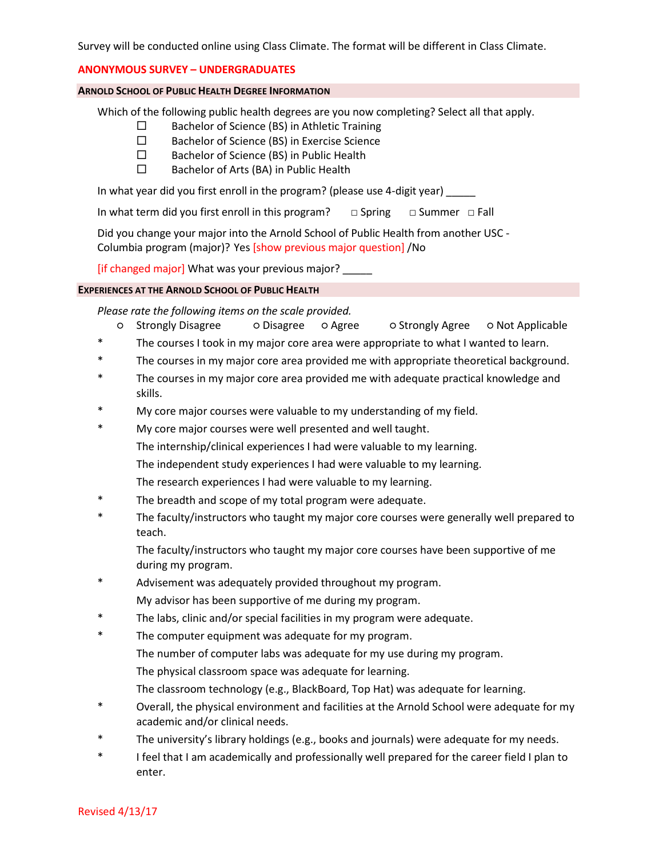### **ANONYMOUS SURVEY – UNDERGRADUATES**

### **ARNOLD SCHOOL OF PUBLIC HEALTH DEGREE INFORMATION**

Which of the following public health degrees are you now completing? Select all that apply.

- $\square$  Bachelor of Science (BS) in Athletic Training
- □ Bachelor of Science (BS) in Exercise Science
- □ Bachelor of Science (BS) in Public Health
- $\square$  Bachelor of Arts (BA) in Public Health

In what year did you first enroll in the program? (please use 4-digit year)

In what term did you first enroll in this program? □ Spring □ Summer □ Fall

Did you change your major into the Arnold School of Public Health from another USC - Columbia program (major)? Yes [show previous major question] /No

[if changed major] What was your previous major?

### **EXPERIENCES AT THE ARNOLD SCHOOL OF PUBLIC HEALTH**

*Please rate the following items on the scale provided.*

- Strongly Disagree Disagree Agree Strongly Agree Not Applicable \* The courses I took in my major core area were appropriate to what I wanted to learn.
- \* The courses in my major core area provided me with appropriate theoretical background.
- \* The courses in my major core area provided me with adequate practical knowledge and skills.
- My core major courses were valuable to my understanding of my field.
- \* My core major courses were well presented and well taught. The internship/clinical experiences I had were valuable to my learning. The independent study experiences I had were valuable to my learning. The research experiences I had were valuable to my learning.
- The breadth and scope of my total program were adequate.
- \* The faculty/instructors who taught my major core courses were generally well prepared to teach.

The faculty/instructors who taught my major core courses have been supportive of me during my program.

- Advisement was adequately provided throughout my program. My advisor has been supportive of me during my program.
- The labs, clinic and/or special facilities in my program were adequate.
- \* The computer equipment was adequate for my program.
	- The number of computer labs was adequate for my use during my program.
	- The physical classroom space was adequate for learning.
	- The classroom technology (e.g., BlackBoard, Top Hat) was adequate for learning.
- \* Overall, the physical environment and facilities at the Arnold School were adequate for my academic and/or clinical needs.
- \* The university's library holdings (e.g., books and journals) were adequate for my needs.
- \* I feel that I am academically and professionally well prepared for the career field I plan to enter.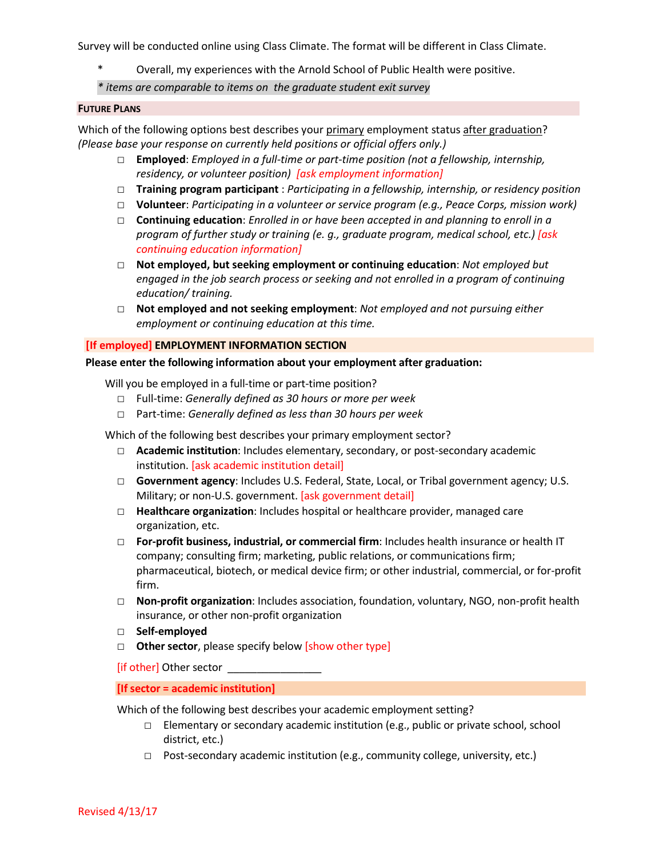- Overall, my experiences with the Arnold School of Public Health were positive.
- *\* items are comparable to items on the graduate student exit survey*

## **FUTURE PLANS**

Which of the following options best describes your primary employment status after graduation? *(Please base your response on currently held positions or official offers only.)*

- □ **Employed**: *Employed in a full-time or part-time position (not a fellowship, internship, residency, or volunteer position) [ask employment information]*
- □ **Training program participant** : *Participating in a fellowship, internship, or residency position*
- □ **Volunteer**: *Participating in a volunteer or service program (e.g., Peace Corps, mission work)*
- □ **Continuing education**: *Enrolled in or have been accepted in and planning to enroll in a program of further study or training (e. g., graduate program, medical school, etc.) [ask continuing education information]*
- □ **Not employed, but seeking employment or continuing education**: *Not employed but engaged in the job search process or seeking and not enrolled in a program of continuing education/ training.*
- □ **Not employed and not seeking employment**: *Not employed and not pursuing either employment or continuing education at this time.*

# **[If employed] EMPLOYMENT INFORMATION SECTION**

## **Please enter the following information about your employment after graduation:**

Will you be employed in a full-time or part-time position?

- □ Full-time: *Generally defined as 30 hours or more per week*
- □ Part-time: *Generally defined as less than 30 hours per week*

Which of the following best describes your primary employment sector?

- □ **Academic institution**: Includes elementary, secondary, or post-secondary academic institution. [ask academic institution detail]
- □ **Government agency**: Includes U.S. Federal, State, Local, or Tribal government agency; U.S. Military; or non-U.S. government. [ask government detail]
- □ **Healthcare organization**: Includes hospital or healthcare provider, managed care organization, etc.
- □ **For-profit business, industrial, or commercial firm**: Includes health insurance or health IT company; consulting firm; marketing, public relations, or communications firm; pharmaceutical, biotech, or medical device firm; or other industrial, commercial, or for-profit firm.
- □ **Non-profit organization**: Includes association, foundation, voluntary, NGO, non-profit health insurance, or other non-profit organization
- □ **Self-employed**
- □ **Other sector**, please specify below [show other type]

[if other] Other sector \_\_\_\_\_\_\_

**[If sector = academic institution]** 

Which of the following best describes your academic employment setting?

- $\square$  Elementary or secondary academic institution (e.g., public or private school, school district, etc.)
- $\Box$  Post-secondary academic institution (e.g., community college, university, etc.)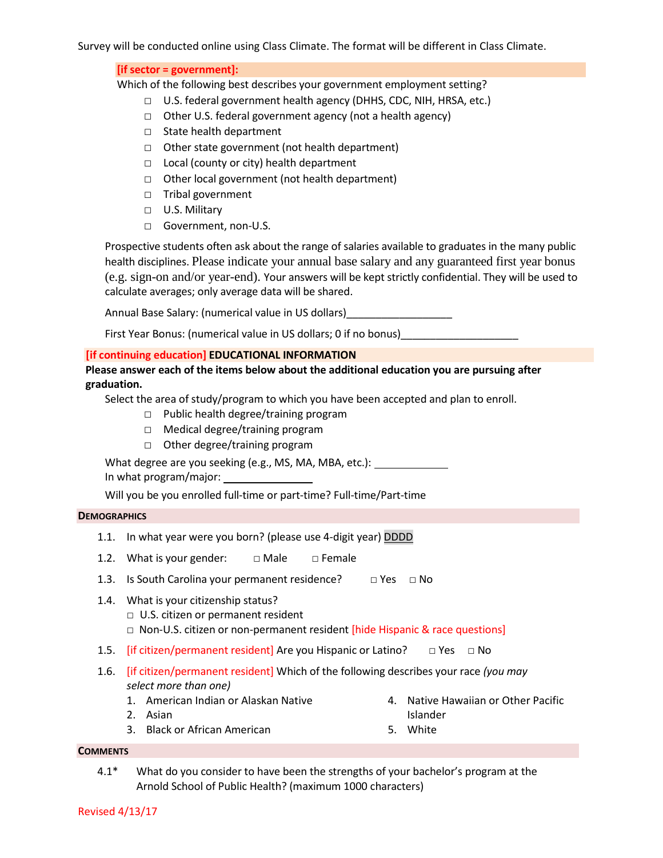**[if sector = government]:** 

Which of the following best describes your government employment setting?

- □ U.S. federal government health agency (DHHS, CDC, NIH, HRSA, etc.)
- □ Other U.S. federal government agency (not a health agency)
- □ State health department
- □ Other state government (not health department)
- □ Local (county or city) health department
- □ Other local government (not health department)
- □ Tribal government
- □ U.S. Military
- □ Government, non-U.S.

Prospective students often ask about the range of salaries available to graduates in the many public health disciplines. Please indicate your annual base salary and any guaranteed first year bonus (e.g. sign-on and/or year-end). Your answers will be kept strictly confidential. They will be used to calculate averages; only average data will be shared.

Annual Base Salary: (numerical value in US dollars)\_\_\_\_\_\_\_\_\_\_\_\_\_\_\_\_\_\_

First Year Bonus: (numerical value in US dollars; 0 if no bonus) \_\_\_\_\_\_\_\_\_\_\_\_\_\_\_

# **[if continuing education] EDUCATIONAL INFORMATION**

**Please answer each of the items below about the additional education you are pursuing after graduation.**

Select the area of study/program to which you have been accepted and plan to enroll.

- □ Public health degree/training program
- □ Medical degree/training program
- □ Other degree/training program

What degree are you seeking (e.g., MS, MA, MBA, etc.): \_\_\_\_\_\_\_\_\_\_\_\_\_\_\_\_\_\_\_\_\_\_\_\_\_ In what program/major:

Will you be you enrolled full-time or part-time? Full-time/Part-time

## **DEMOGRAPHICS**

- 1.1. In what year were you born? (please use 4-digit year) DDDD
- 1.2. What is your gender:  $□$  Male  $□$  Female
- 1.3. Is South Carolina your permanent residence?  $\Box$  Yes  $\Box$  No
- 1.4. What is your citizenship status? □ U.S. citizen or permanent resident  $\Box$  Non-U.S. citizen or non-permanent resident [hide Hispanic & race questions]
- 1.5. **[if citizen/permanent resident]** Are you Hispanic or Latino?  $\Box$  Yes  $\Box$  No
- 1.6. [if citizen/permanent resident] Which of the following describes your race *(you may select more than one)*
	- 1. American Indian or Alaskan Native
- 4. Native Hawaiian or Other Pacific Islander
- 3. Black or African American 5. White

# **COMMENTS**

4.1\* What do you consider to have been the strengths of your bachelor's program at the Arnold School of Public Health? (maximum 1000 characters)

2. Asian